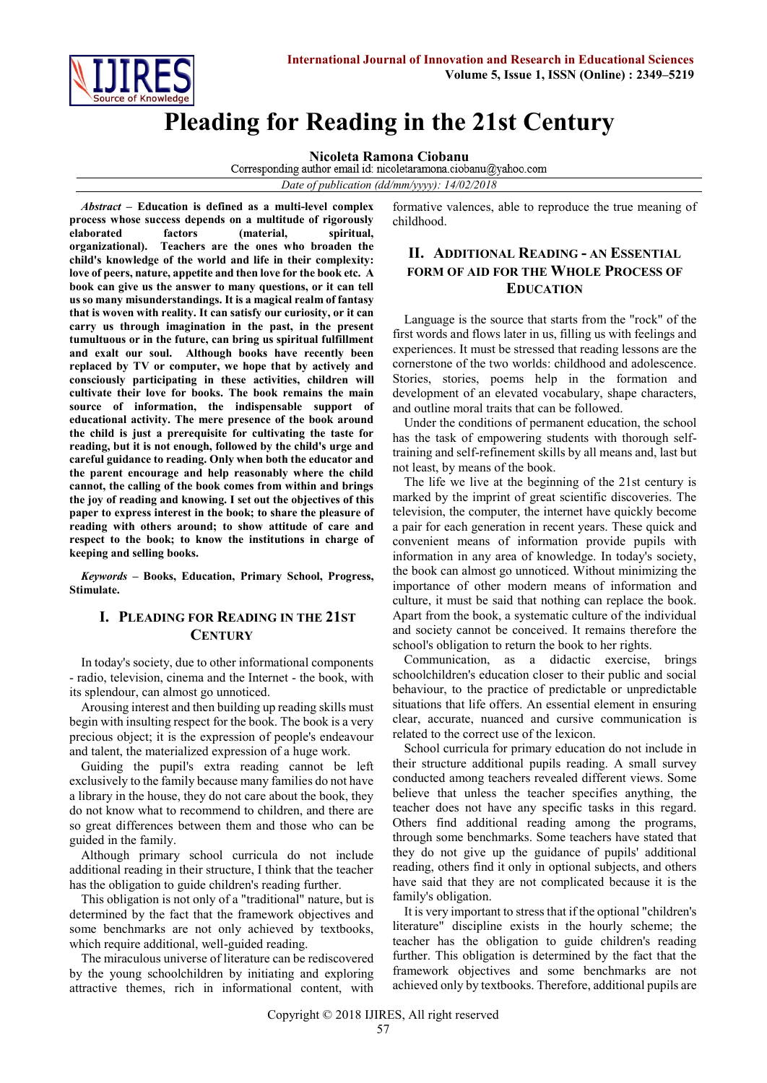

# **Pleading for Reading in the 21st Century**

**Nicoleta Ramona Ciobanu**<br>Corresponding author email id: nicoletaramona.ciobanu@yahoo.com

*Date of publication (dd/mm/yyyy): 14/02/2018*

*Abstract* **– Education is defined as a multi-level complex process whose success depends on a multitude of rigorously elaborated factors (material, spiritual, organizational). Teachers are the ones who broaden the child's knowledge of the world and life in their complexity: love of peers, nature, appetite and then love for the book etc. A book can give us the answer to many questions, or it can tell us so many misunderstandings. It is a magical realm of fantasy that is woven with reality. It can satisfy our curiosity, or it can carry us through imagination in the past, in the present tumultuous or in the future, can bring us spiritual fulfillment and exalt our soul. Although books have recently been replaced by TV or computer, we hope that by actively and consciously participating in these activities, children will cultivate their love for books. The book remains the main source of information, the indispensable support of educational activity. The mere presence of the book around the child is just a prerequisite for cultivating the taste for reading, but it is not enough, followed by the child's urge and careful guidance to reading. Only when both the educator and the parent encourage and help reasonably where the child cannot, the calling of the book comes from within and brings the joy of reading and knowing. I set out the objectives of this paper to express interest in the book; to share the pleasure of reading with others around; to show attitude of care and respect to the book; to know the institutions in charge of keeping and selling books.**

*Keywords* **– Books, Education, Primary School, Progress, Stimulate.**

#### **I. PLEADING FOR READING IN THE 21ST CENTURY**

In today's society, due to other informational components - radio, television, cinema and the Internet - the book, with its splendour, can almost go unnoticed.

Arousing interest and then building up reading skills must begin with insulting respect for the book. The book is a very precious object; it is the expression of people's endeavour and talent, the materialized expression of a huge work.

Guiding the pupil's extra reading cannot be left exclusively to the family because many families do not have a library in the house, they do not care about the book, they do not know what to recommend to children, and there are so great differences between them and those who can be guided in the family.

Although primary school curricula do not include additional reading in their structure, I think that the teacher has the obligation to guide children's reading further.

This obligation is not only of a "traditional" nature, but is determined by the fact that the framework objectives and some benchmarks are not only achieved by textbooks, which require additional, well-guided reading.

The miraculous universe of literature can be rediscovered by the young schoolchildren by initiating and exploring attractive themes, rich in informational content, with formative valences, able to reproduce the true meaning of childhood.

## **II. ADDITIONAL READING - AN ESSENTIAL FORM OF AID FOR THE WHOLE PROCESS OF EDUCATION**

Language is the source that starts from the "rock" of the first words and flows later in us, filling us with feelings and experiences. It must be stressed that reading lessons are the cornerstone of the two worlds: childhood and adolescence. Stories, stories, poems help in the formation and development of an elevated vocabulary, shape characters, and outline moral traits that can be followed.

Under the conditions of permanent education, the school has the task of empowering students with thorough selftraining and self-refinement skills by all means and, last but not least, by means of the book.

The life we live at the beginning of the 21st century is marked by the imprint of great scientific discoveries. The television, the computer, the internet have quickly become a pair for each generation in recent years. These quick and convenient means of information provide pupils with information in any area of knowledge. In today's society, the book can almost go unnoticed. Without minimizing the importance of other modern means of information and culture, it must be said that nothing can replace the book. Apart from the book, a systematic culture of the individual and society cannot be conceived. It remains therefore the school's obligation to return the book to her rights.

Communication, as a didactic exercise, brings schoolchildren's education closer to their public and social behaviour, to the practice of predictable or unpredictable situations that life offers. An essential element in ensuring clear, accurate, nuanced and cursive communication is related to the correct use of the lexicon.

School curricula for primary education do not include in their structure additional pupils reading. A small survey conducted among teachers revealed different views. Some believe that unless the teacher specifies anything, the teacher does not have any specific tasks in this regard. Others find additional reading among the programs, through some benchmarks. Some teachers have stated that they do not give up the guidance of pupils' additional reading, others find it only in optional subjects, and others have said that they are not complicated because it is the family's obligation.

It is very important to stress that if the optional "children's literature" discipline exists in the hourly scheme; the teacher has the obligation to guide children's reading further. This obligation is determined by the fact that the framework objectives and some benchmarks are not achieved only by textbooks. Therefore, additional pupils are

Copyright © 2018 IJIRES, All right reserved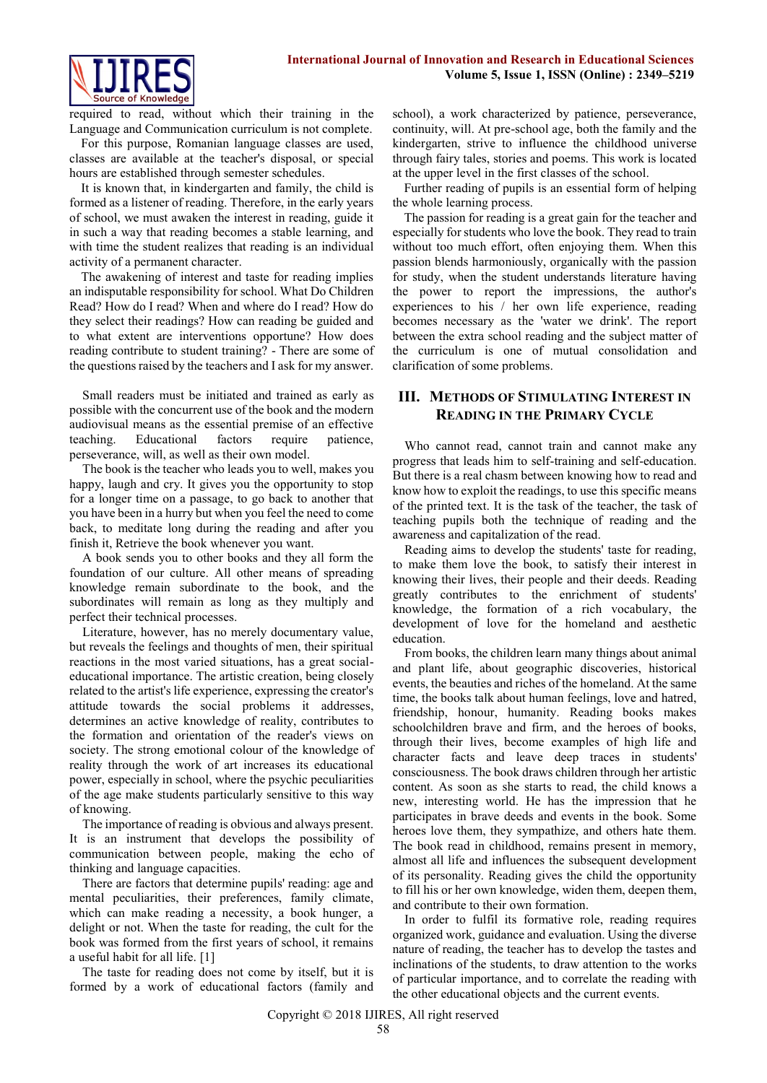

required to read, without which their training in the Language and Communication curriculum is not complete.

For this purpose, Romanian language classes are used, classes are available at the teacher's disposal, or special hours are established through semester schedules.

It is known that, in kindergarten and family, the child is formed as a listener of reading. Therefore, in the early years of school, we must awaken the interest in reading, guide it in such a way that reading becomes a stable learning, and with time the student realizes that reading is an individual activity of a permanent character.

The awakening of interest and taste for reading implies an indisputable responsibility for school. What Do Children Read? How do I read? When and where do I read? How do they select their readings? How can reading be guided and to what extent are interventions opportune? How does reading contribute to student training? - There are some of the questions raised by the teachers and I ask for my answer.

Small readers must be initiated and trained as early as possible with the concurrent use of the book and the modern audiovisual means as the essential premise of an effective teaching. Educational factors require patience, perseverance, will, as well as their own model.

The book is the teacher who leads you to well, makes you happy, laugh and cry. It gives you the opportunity to stop for a longer time on a passage, to go back to another that you have been in a hurry but when you feel the need to come back, to meditate long during the reading and after you finish it, Retrieve the book whenever you want.

A book sends you to other books and they all form the foundation of our culture. All other means of spreading knowledge remain subordinate to the book, and the subordinates will remain as long as they multiply and perfect their technical processes.

Literature, however, has no merely documentary value, but reveals the feelings and thoughts of men, their spiritual reactions in the most varied situations, has a great socialeducational importance. The artistic creation, being closely related to the artist's life experience, expressing the creator's attitude towards the social problems it addresses, determines an active knowledge of reality, contributes to the formation and orientation of the reader's views on society. The strong emotional colour of the knowledge of reality through the work of art increases its educational power, especially in school, where the psychic peculiarities of the age make students particularly sensitive to this way of knowing.

The importance of reading is obvious and always present. It is an instrument that develops the possibility of communication between people, making the echo of thinking and language capacities.

There are factors that determine pupils' reading: age and mental peculiarities, their preferences, family climate, which can make reading a necessity, a book hunger, a delight or not. When the taste for reading, the cult for the book was formed from the first years of school, it remains a useful habit for all life. [1]

The taste for reading does not come by itself, but it is formed by a work of educational factors (family and school), a work characterized by patience, perseverance, continuity, will. At pre-school age, both the family and the kindergarten, strive to influence the childhood universe through fairy tales, stories and poems. This work is located at the upper level in the first classes of the school.

Further reading of pupils is an essential form of helping the whole learning process.

The passion for reading is a great gain for the teacher and especially for students who love the book. They read to train without too much effort, often enjoying them. When this passion blends harmoniously, organically with the passion for study, when the student understands literature having the power to report the impressions, the author's experiences to his / her own life experience, reading becomes necessary as the 'water we drink'. The report between the extra school reading and the subject matter of the curriculum is one of mutual consolidation and clarification of some problems.

## **III. METHODS OF STIMULATING INTEREST IN READING IN THE PRIMARY CYCLE**

Who cannot read, cannot train and cannot make any progress that leads him to self-training and self-education. But there is a real chasm between knowing how to read and know how to exploit the readings, to use this specific means of the printed text. It is the task of the teacher, the task of teaching pupils both the technique of reading and the awareness and capitalization of the read.

Reading aims to develop the students' taste for reading, to make them love the book, to satisfy their interest in knowing their lives, their people and their deeds. Reading greatly contributes to the enrichment of students' knowledge, the formation of a rich vocabulary, the development of love for the homeland and aesthetic education.

From books, the children learn many things about animal and plant life, about geographic discoveries, historical events, the beauties and riches of the homeland. At the same time, the books talk about human feelings, love and hatred, friendship, honour, humanity. Reading books makes schoolchildren brave and firm, and the heroes of books, through their lives, become examples of high life and character facts and leave deep traces in students' consciousness. The book draws children through her artistic content. As soon as she starts to read, the child knows a new, interesting world. He has the impression that he participates in brave deeds and events in the book. Some heroes love them, they sympathize, and others hate them. The book read in childhood, remains present in memory, almost all life and influences the subsequent development of its personality. Reading gives the child the opportunity to fill his or her own knowledge, widen them, deepen them, and contribute to their own formation.

In order to fulfil its formative role, reading requires organized work, guidance and evaluation. Using the diverse nature of reading, the teacher has to develop the tastes and inclinations of the students, to draw attention to the works of particular importance, and to correlate the reading with the other educational objects and the current events.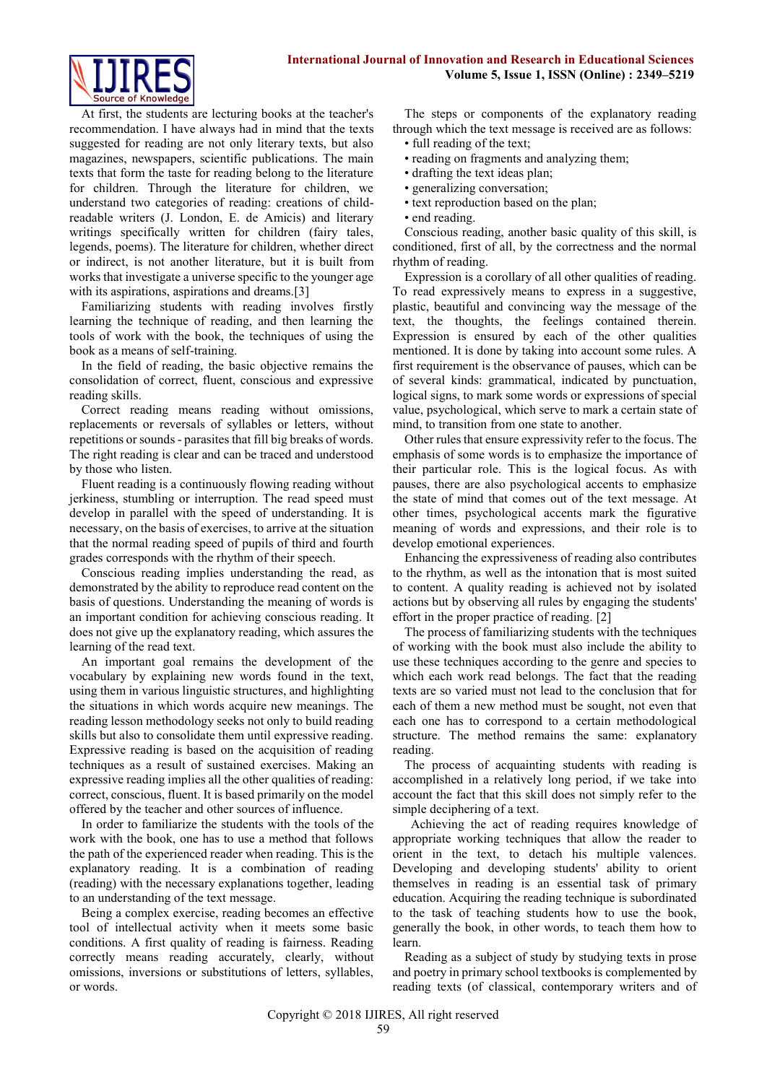

At first, the students are lecturing books at the teacher's recommendation. I have always had in mind that the texts suggested for reading are not only literary texts, but also magazines, newspapers, scientific publications. The main texts that form the taste for reading belong to the literature for children. Through the literature for children, we understand two categories of reading: creations of childreadable writers (J. London, E. de Amicis) and literary writings specifically written for children (fairy tales, legends, poems). The literature for children, whether direct or indirect, is not another literature, but it is built from works that investigate a universe specific to the younger age with its aspirations, aspirations and dreams.<sup>[3]</sup>

Familiarizing students with reading involves firstly learning the technique of reading, and then learning the tools of work with the book, the techniques of using the book as a means of self-training.

In the field of reading, the basic objective remains the consolidation of correct, fluent, conscious and expressive reading skills.

Correct reading means reading without omissions, replacements or reversals of syllables or letters, without repetitions or sounds - parasites that fill big breaks of words. The right reading is clear and can be traced and understood by those who listen.

Fluent reading is a continuously flowing reading without jerkiness, stumbling or interruption. The read speed must develop in parallel with the speed of understanding. It is necessary, on the basis of exercises, to arrive at the situation that the normal reading speed of pupils of third and fourth grades corresponds with the rhythm of their speech.

Conscious reading implies understanding the read, as demonstrated by the ability to reproduce read content on the basis of questions. Understanding the meaning of words is an important condition for achieving conscious reading. It does not give up the explanatory reading, which assures the learning of the read text.

An important goal remains the development of the vocabulary by explaining new words found in the text, using them in various linguistic structures, and highlighting the situations in which words acquire new meanings. The reading lesson methodology seeks not only to build reading skills but also to consolidate them until expressive reading. Expressive reading is based on the acquisition of reading techniques as a result of sustained exercises. Making an expressive reading implies all the other qualities of reading: correct, conscious, fluent. It is based primarily on the model offered by the teacher and other sources of influence.

In order to familiarize the students with the tools of the work with the book, one has to use a method that follows the path of the experienced reader when reading. This is the explanatory reading. It is a combination of reading (reading) with the necessary explanations together, leading to an understanding of the text message.

Being a complex exercise, reading becomes an effective tool of intellectual activity when it meets some basic conditions. A first quality of reading is fairness. Reading correctly means reading accurately, clearly, without omissions, inversions or substitutions of letters, syllables, or words.

The steps or components of the explanatory reading through which the text message is received are as follows:

- full reading of the text;
- reading on fragments and analyzing them;
- drafting the text ideas plan;
- generalizing conversation;
- text reproduction based on the plan;
- end reading.

Conscious reading, another basic quality of this skill, is conditioned, first of all, by the correctness and the normal rhythm of reading.

Expression is a corollary of all other qualities of reading. To read expressively means to express in a suggestive, plastic, beautiful and convincing way the message of the text, the thoughts, the feelings contained therein. Expression is ensured by each of the other qualities mentioned. It is done by taking into account some rules. A first requirement is the observance of pauses, which can be of several kinds: grammatical, indicated by punctuation, logical signs, to mark some words or expressions of special value, psychological, which serve to mark a certain state of mind, to transition from one state to another.

Other rules that ensure expressivity refer to the focus. The emphasis of some words is to emphasize the importance of their particular role. This is the logical focus. As with pauses, there are also psychological accents to emphasize the state of mind that comes out of the text message. At other times, psychological accents mark the figurative meaning of words and expressions, and their role is to develop emotional experiences.

Enhancing the expressiveness of reading also contributes to the rhythm, as well as the intonation that is most suited to content. A quality reading is achieved not by isolated actions but by observing all rules by engaging the students' effort in the proper practice of reading. [2]

The process of familiarizing students with the techniques of working with the book must also include the ability to use these techniques according to the genre and species to which each work read belongs. The fact that the reading texts are so varied must not lead to the conclusion that for each of them a new method must be sought, not even that each one has to correspond to a certain methodological structure. The method remains the same: explanatory reading.

The process of acquainting students with reading is accomplished in a relatively long period, if we take into account the fact that this skill does not simply refer to the simple deciphering of a text.

Achieving the act of reading requires knowledge of appropriate working techniques that allow the reader to orient in the text, to detach his multiple valences. Developing and developing students' ability to orient themselves in reading is an essential task of primary education. Acquiring the reading technique is subordinated to the task of teaching students how to use the book, generally the book, in other words, to teach them how to learn.

Reading as a subject of study by studying texts in prose and poetry in primary school textbooks is complemented by reading texts (of classical, contemporary writers and of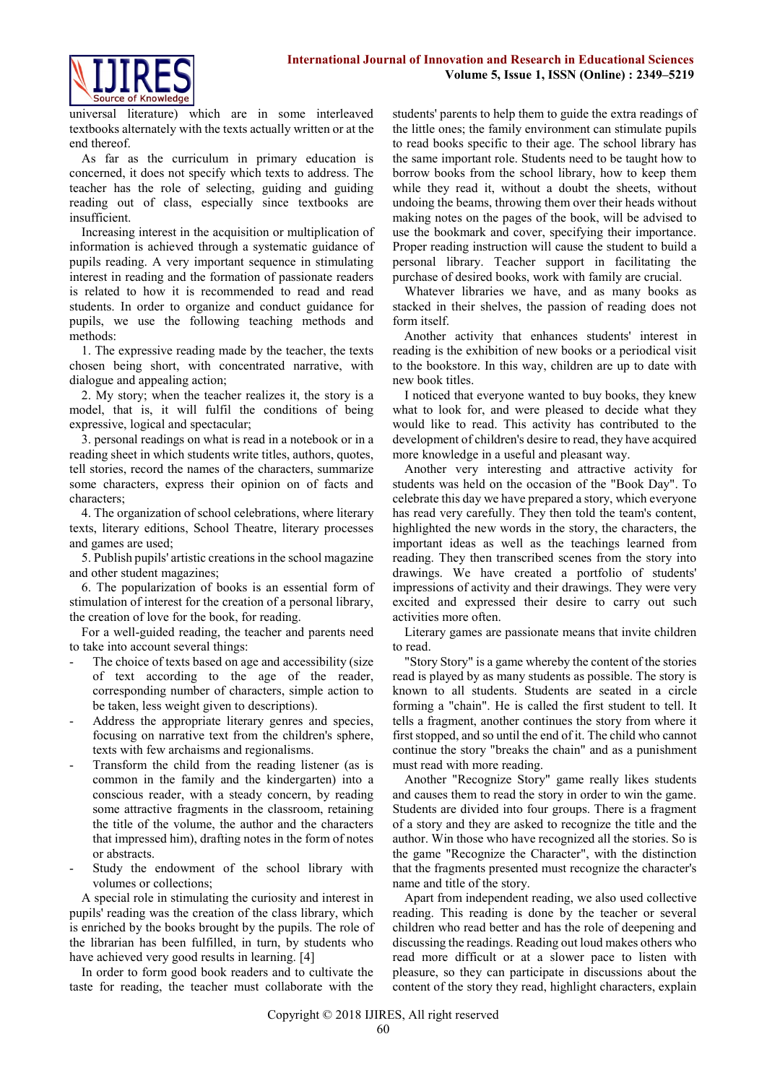

universal literature) which are in some interleaved textbooks alternately with the texts actually written or at the end thereof.

As far as the curriculum in primary education is concerned, it does not specify which texts to address. The teacher has the role of selecting, guiding and guiding reading out of class, especially since textbooks are insufficient.

Increasing interest in the acquisition or multiplication of information is achieved through a systematic guidance of pupils reading. A very important sequence in stimulating interest in reading and the formation of passionate readers is related to how it is recommended to read and read students. In order to organize and conduct guidance for pupils, we use the following teaching methods and methods:

1. The expressive reading made by the teacher, the texts chosen being short, with concentrated narrative, with dialogue and appealing action;

2. My story; when the teacher realizes it, the story is a model, that is, it will fulfil the conditions of being expressive, logical and spectacular;

3. personal readings on what is read in a notebook or in a reading sheet in which students write titles, authors, quotes, tell stories, record the names of the characters, summarize some characters, express their opinion on of facts and characters;

4. The organization of school celebrations, where literary texts, literary editions, School Theatre, literary processes and games are used;

5. Publish pupils' artistic creations in the school magazine and other student magazines;

6. The popularization of books is an essential form of stimulation of interest for the creation of a personal library, the creation of love for the book, for reading.

For a well-guided reading, the teacher and parents need to take into account several things:

- The choice of texts based on age and accessibility (size of text according to the age of the reader, corresponding number of characters, simple action to be taken, less weight given to descriptions).
- Address the appropriate literary genres and species, focusing on narrative text from the children's sphere, texts with few archaisms and regionalisms.
- Transform the child from the reading listener (as is common in the family and the kindergarten) into a conscious reader, with a steady concern, by reading some attractive fragments in the classroom, retaining the title of the volume, the author and the characters that impressed him), drafting notes in the form of notes or abstracts.
- Study the endowment of the school library with volumes or collections;

A special role in stimulating the curiosity and interest in pupils' reading was the creation of the class library, which is enriched by the books brought by the pupils. The role of the librarian has been fulfilled, in turn, by students who have achieved very good results in learning. [4]

In order to form good book readers and to cultivate the taste for reading, the teacher must collaborate with the students' parents to help them to guide the extra readings of the little ones; the family environment can stimulate pupils to read books specific to their age. The school library has the same important role. Students need to be taught how to borrow books from the school library, how to keep them while they read it, without a doubt the sheets, without undoing the beams, throwing them over their heads without making notes on the pages of the book, will be advised to use the bookmark and cover, specifying their importance. Proper reading instruction will cause the student to build a personal library. Teacher support in facilitating the purchase of desired books, work with family are crucial.

Whatever libraries we have, and as many books as stacked in their shelves, the passion of reading does not form itself.

Another activity that enhances students' interest in reading is the exhibition of new books or a periodical visit to the bookstore. In this way, children are up to date with new book titles.

I noticed that everyone wanted to buy books, they knew what to look for, and were pleased to decide what they would like to read. This activity has contributed to the development of children's desire to read, they have acquired more knowledge in a useful and pleasant way.

Another very interesting and attractive activity for students was held on the occasion of the "Book Day". To celebrate this day we have prepared a story, which everyone has read very carefully. They then told the team's content, highlighted the new words in the story, the characters, the important ideas as well as the teachings learned from reading. They then transcribed scenes from the story into drawings. We have created a portfolio of students' impressions of activity and their drawings. They were very excited and expressed their desire to carry out such activities more often.

Literary games are passionate means that invite children to read.

"Story Story" is a game whereby the content of the stories read is played by as many students as possible. The story is known to all students. Students are seated in a circle forming a "chain". He is called the first student to tell. It tells a fragment, another continues the story from where it first stopped, and so until the end of it. The child who cannot continue the story "breaks the chain" and as a punishment must read with more reading.

Another "Recognize Story" game really likes students and causes them to read the story in order to win the game. Students are divided into four groups. There is a fragment of a story and they are asked to recognize the title and the author. Win those who have recognized all the stories. So is the game "Recognize the Character", with the distinction that the fragments presented must recognize the character's name and title of the story.

Apart from independent reading, we also used collective reading. This reading is done by the teacher or several children who read better and has the role of deepening and discussing the readings. Reading out loud makes others who read more difficult or at a slower pace to listen with pleasure, so they can participate in discussions about the content of the story they read, highlight characters, explain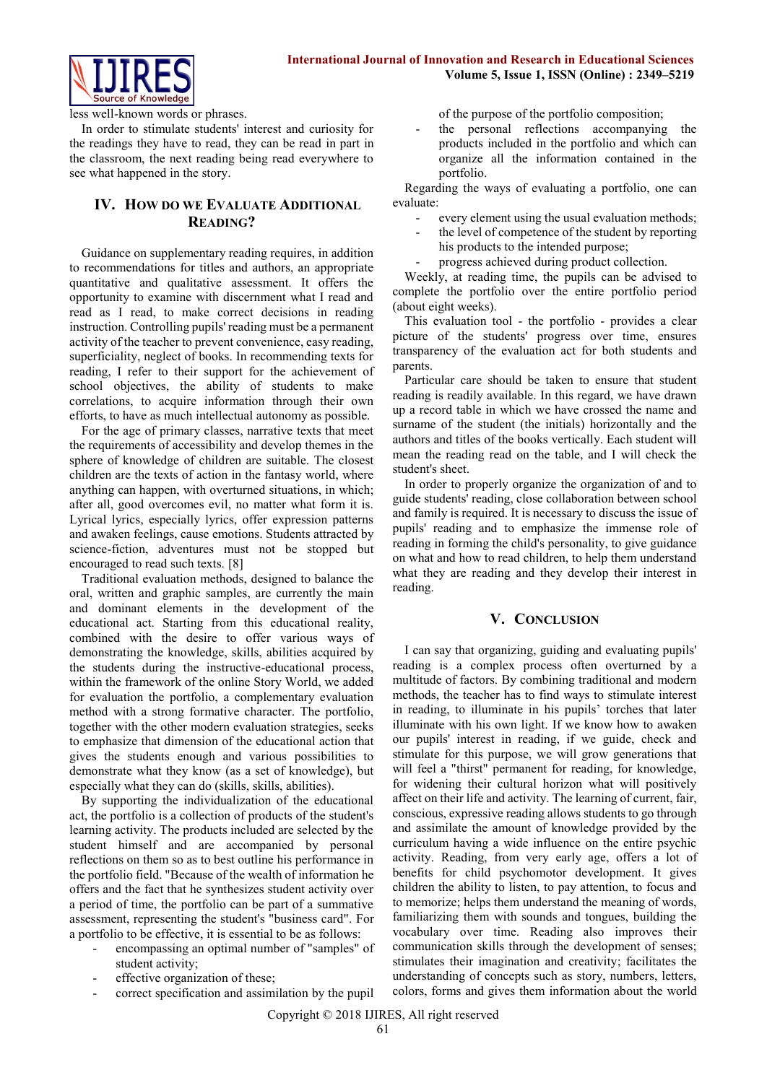

less well-known words or phrases.

In order to stimulate students' interest and curiosity for the readings they have to read, they can be read in part in the classroom, the next reading being read everywhere to see what happened in the story.

# **IV. HOW DO WE EVALUATE ADDITIONAL READING?**

Guidance on supplementary reading requires, in addition to recommendations for titles and authors, an appropriate quantitative and qualitative assessment. It offers the opportunity to examine with discernment what I read and read as I read, to make correct decisions in reading instruction. Controlling pupils' reading must be a permanent activity of the teacher to prevent convenience, easy reading, superficiality, neglect of books. In recommending texts for reading, I refer to their support for the achievement of school objectives, the ability of students to make correlations, to acquire information through their own efforts, to have as much intellectual autonomy as possible.

For the age of primary classes, narrative texts that meet the requirements of accessibility and develop themes in the sphere of knowledge of children are suitable. The closest children are the texts of action in the fantasy world, where anything can happen, with overturned situations, in which; after all, good overcomes evil, no matter what form it is. Lyrical lyrics, especially lyrics, offer expression patterns and awaken feelings, cause emotions. Students attracted by science-fiction, adventures must not be stopped but encouraged to read such texts. [8]

Traditional evaluation methods, designed to balance the oral, written and graphic samples, are currently the main and dominant elements in the development of the educational act. Starting from this educational reality, combined with the desire to offer various ways of demonstrating the knowledge, skills, abilities acquired by the students during the instructive-educational process, within the framework of the online Story World, we added for evaluation the portfolio, a complementary evaluation method with a strong formative character. The portfolio, together with the other modern evaluation strategies, seeks to emphasize that dimension of the educational action that gives the students enough and various possibilities to demonstrate what they know (as a set of knowledge), but especially what they can do (skills, skills, abilities).

By supporting the individualization of the educational act, the portfolio is a collection of products of the student's learning activity. The products included are selected by the student himself and are accompanied by personal reflections on them so as to best outline his performance in the portfolio field. "Because of the wealth of information he offers and the fact that he synthesizes student activity over a period of time, the portfolio can be part of a summative assessment, representing the student's "business card". For a portfolio to be effective, it is essential to be as follows:

- encompassing an optimal number of "samples" of student activity;
- effective organization of these;
- correct specification and assimilation by the pupil

of the purpose of the portfolio composition;

the personal reflections accompanying the products included in the portfolio and which can organize all the information contained in the portfolio.

Regarding the ways of evaluating a portfolio, one can evaluate:

- every element using the usual evaluation methods;
- the level of competence of the student by reporting his products to the intended purpose;
- progress achieved during product collection.

Weekly, at reading time, the pupils can be advised to complete the portfolio over the entire portfolio period (about eight weeks).

This evaluation tool - the portfolio - provides a clear picture of the students' progress over time, ensures transparency of the evaluation act for both students and parents.

Particular care should be taken to ensure that student reading is readily available. In this regard, we have drawn up a record table in which we have crossed the name and surname of the student (the initials) horizontally and the authors and titles of the books vertically. Each student will mean the reading read on the table, and I will check the student's sheet.

In order to properly organize the organization of and to guide students' reading, close collaboration between school and family is required. It is necessary to discuss the issue of pupils' reading and to emphasize the immense role of reading in forming the child's personality, to give guidance on what and how to read children, to help them understand what they are reading and they develop their interest in reading.

#### **V. CONCLUSION**

I can say that organizing, guiding and evaluating pupils' reading is a complex process often overturned by a multitude of factors. By combining traditional and modern methods, the teacher has to find ways to stimulate interest in reading, to illuminate in his pupils' torches that later illuminate with his own light. If we know how to awaken our pupils' interest in reading, if we guide, check and stimulate for this purpose, we will grow generations that will feel a "thirst" permanent for reading, for knowledge, for widening their cultural horizon what will positively affect on their life and activity. The learning of current, fair, conscious, expressive reading allows students to go through and assimilate the amount of knowledge provided by the curriculum having a wide influence on the entire psychic activity. Reading, from very early age, offers a lot of benefits for child psychomotor development. It gives children the ability to listen, to pay attention, to focus and to memorize; helps them understand the meaning of words, familiarizing them with sounds and tongues, building the vocabulary over time. Reading also improves their communication skills through the development of senses; stimulates their imagination and creativity; facilitates the understanding of concepts such as story, numbers, letters, colors, forms and gives them information about the world

Copyright © 2018 IJIRES, All right reserved